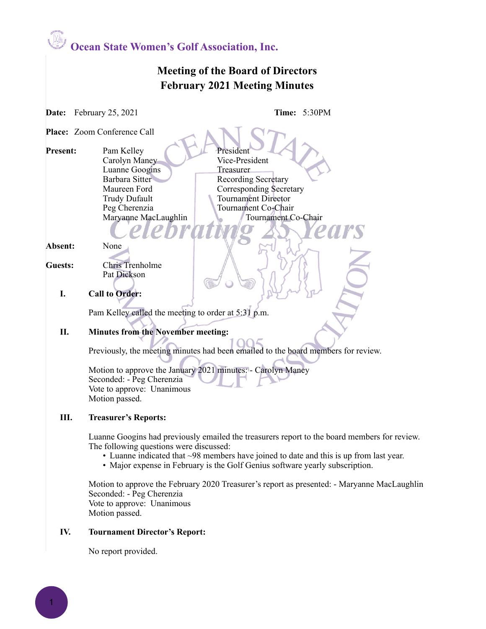**Ocean State Women's Golf Association, Inc.**

### **Meeting of the Board of Directors February 2021 Meeting Minutes**

**Date:** February 25, 2021 **Time:** 5:30PM

**Place:** Zoom Conference Call

**Present:** Pam Kelley **President** Carolyn Maney Vice-President Luanne Googins Treasurer Barbara Sitter Recording Secretary Maureen Ford Corresponding Secretary Trudy Dufault Tournament Director Peg Cherenzia Tournament Co-Chair Maryanne MacLaughlin Tournament Co-Chair

**Absent:** None

**Guests:** Chris Trenholme Pat Dickson

**I. Call to Order:** 

Pam Kelley called the meeting to order at 5:31 p.m.

### **II. Minutes from the November meeting:**

Previously, the meeting minutes had been emailed to the board members for review.

Motion to approve the January 2021 minutes: - Carolyn Maney Seconded: - Peg Cherenzia Vote to approve: Unanimous Motion passed.

### **III. Treasurer's Reports:**

Luanne Googins had previously emailed the treasurers report to the board members for review. The following questions were discussed:

- Luanne indicated that ~98 members have joined to date and this is up from last year.
- Major expense in February is the Golf Genius software yearly subscription.

Motion to approve the February 2020 Treasurer's report as presented: - Maryanne MacLaughlin Seconded: - Peg Cherenzia Vote to approve: Unanimous Motion passed.

### **IV. Tournament Director's Report:**

No report provided.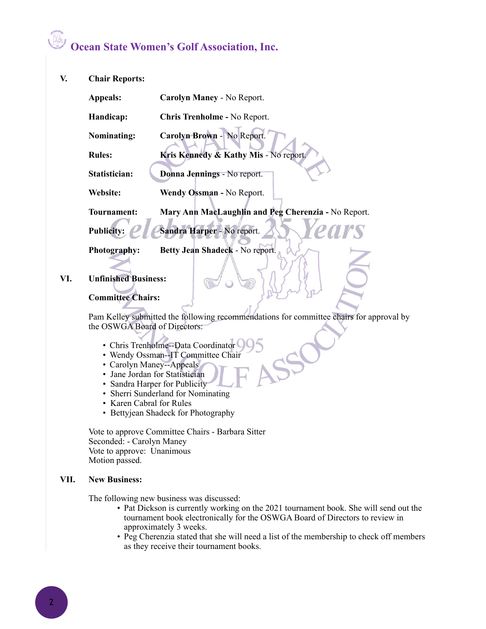# **Ocean State Women's Golf Association, Inc.**

**V. Chair Reports:** 

| <b>Appeals:</b>   | Carolyn Maney - No Report.                          |
|-------------------|-----------------------------------------------------|
| Handicap:         | <b>Chris Trenholme - No Report.</b>                 |
| Nominating:       | Carolyn Brown - No Report.                          |
| <b>Rules:</b>     | Kris Kennedy & Kathy Mis - No report.               |
| Statistician:     | Donna Jennings - No report.                         |
| Website:          | Wendy Ossman - No Report.                           |
| Tournament:       | Mary Ann MacLaughlin and Peg Cherenzia - No Report. |
| <b>Publicity:</b> | Sandra Harper - No report.                          |

**Photography: Betty Jean Shadeck** - No report.

**VI. Unfinished Business:** 

#### **Committee Chairs:**

Pam Kelley submitted the following recommendations for committee chairs for approval by the OSWGA Board of Directors:

- Chris Trenholme--Data Coordinator
- Wendy Ossman--IT Committee Chair
- Carolyn Maney--Appeals
- Jane Jordan for Statistician
- Sandra Harper for Publicity
- Sherri Sunderland for Nominating
- Karen Cabral for Rules
- Bettyjean Shadeck for Photography

Vote to approve Committee Chairs - Barbara Sitter Seconded: - Carolyn Maney Vote to approve: Unanimous Motion passed.

### **VII. New Business:**

The following new business was discussed:

- Pat Dickson is currently working on the 2021 tournament book. She will send out the tournament book electronically for the OSWGA Board of Directors to review in approximately 3 weeks.
- Peg Cherenzia stated that she will need a list of the membership to check off members as they receive their tournament books.